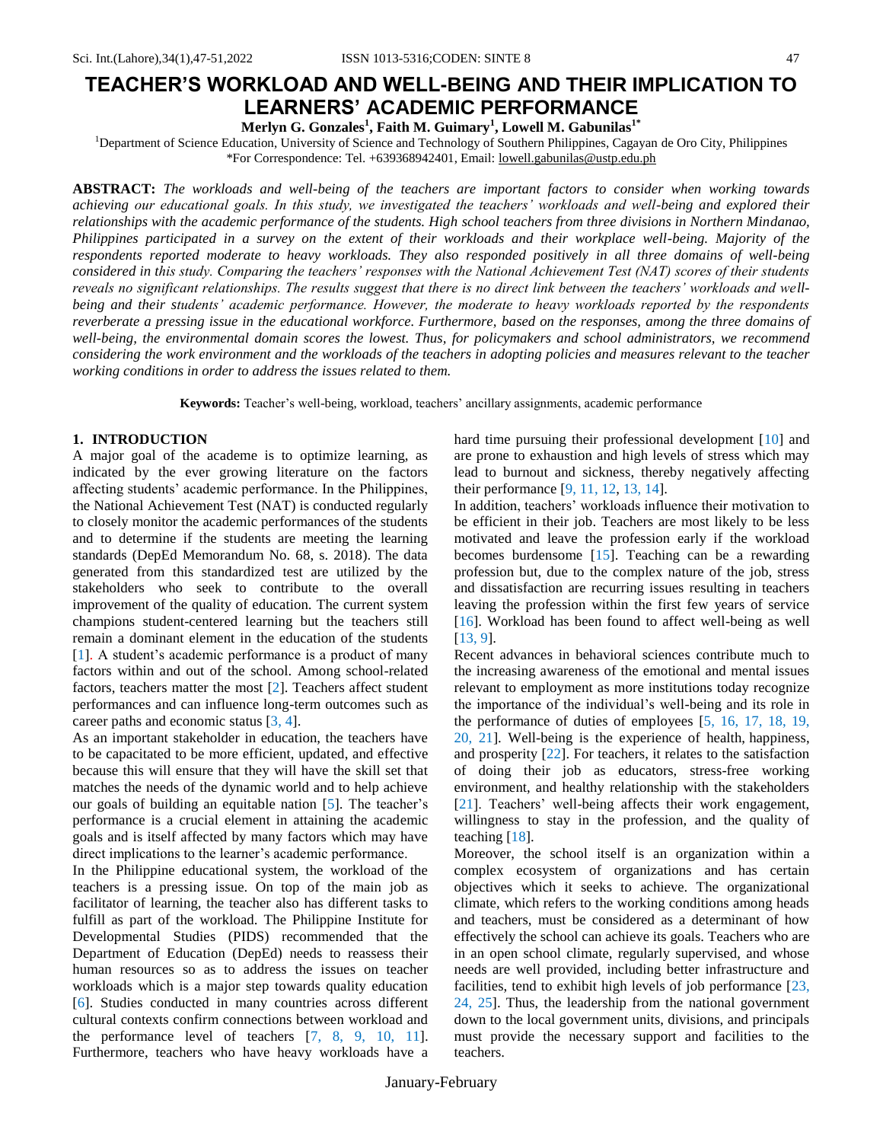**Merlyn G. Gonzales<sup>1</sup> , Faith M. Guimary<sup>1</sup> , Lowell M. Gabunilas1\***

<sup>1</sup>Department of Science Education, University of Science and Technology of Southern Philippines, Cagayan de Oro City, Philippines \*For Correspondence: Tel. +639368942401, Email: [lowell.gabunilas@ustp.edu.ph](mailto:lowell.gabunilas@ustp.edu.ph)

**ABSTRACT:** *The workloads and well-being of the teachers are important factors to consider when working towards achieving our educational goals. In this study, we investigated the teachers' workloads and well-being and explored their relationships with the academic performance of the students. High school teachers from three divisions in Northern Mindanao, Philippines participated in a survey on the extent of their workloads and their workplace well-being. Majority of the respondents reported moderate to heavy workloads. They also responded positively in all three domains of well-being considered in this study. Comparing the teachers' responses with the National Achievement Test (NAT) scores of their students reveals no significant relationships. The results suggest that there is no direct link between the teachers' workloads and wellbeing and their students' academic performance. However, the moderate to heavy workloads reported by the respondents reverberate a pressing issue in the educational workforce. Furthermore, based on the responses, among the three domains of well-being, the environmental domain scores the lowest. Thus, for policymakers and school administrators, we recommend considering the work environment and the workloads of the teachers in adopting policies and measures relevant to the teacher working conditions in order to address the issues related to them.*

**Keywords:** Teacher's well-being, workload, teachers' ancillary assignments, academic performance

# **1. INTRODUCTION**

A major goal of the academe is to optimize learning, as indicated by the ever growing literature on the factors affecting students' academic performance. In the Philippines, the National Achievement Test (NAT) is conducted regularly to closely monitor the academic performances of the students and to determine if the students are meeting the learning standards (DepEd Memorandum No. 68, s. 2018). The data generated from this standardized test are utilized by the stakeholders who seek to contribute to the overall improvement of the quality of education. The current system champions student-centered learning but the teachers still remain a dominant element in the education of the students [1]. A student's academic performance is a product of many factors within and out of the school. Among school-related factors, teachers matter the most [2]. Teachers affect student performances and can influence long-term outcomes such as career paths and economic status [3, 4].

As an important stakeholder in education, the teachers have to be capacitated to be more efficient, updated, and effective because this will ensure that they will have the skill set that matches the needs of the dynamic world and to help achieve our goals of building an equitable nation [5]. The teacher's performance is a crucial element in attaining the academic goals and is itself affected by many factors which may have direct implications to the learner's academic performance.

In the Philippine educational system, the workload of the teachers is a pressing issue. On top of the main job as facilitator of learning, the teacher also has different tasks to fulfill as part of the workload. The Philippine Institute for Developmental Studies (PIDS) recommended that the Department of Education (DepEd) needs to reassess their human resources so as to address the issues on teacher workloads which is a major step towards quality education [6]. Studies conducted in many countries across different cultural contexts confirm connections between workload and the performance level of teachers [7, 8, 9, 10, 11]. Furthermore, teachers who have heavy workloads have a

hard time pursuing their professional development [10] and are prone to exhaustion and high levels of stress which may lead to burnout and sickness, thereby negatively affecting their performance [9, 11, 12, 13, 14].

In addition, teachers' workloads influence their motivation to be efficient in their job. Teachers are most likely to be less motivated and leave the profession early if the workload becomes burdensome [15]. Teaching can be a rewarding profession but, due to the complex nature of the job, stress and dissatisfaction are recurring issues resulting in teachers leaving the profession within the first few years of service [16]. Workload has been found to affect well-being as well [13, 9].

Recent advances in behavioral sciences contribute much to the increasing awareness of the emotional and mental issues relevant to employment as more institutions today recognize the importance of the individual's well-being and its role in the performance of duties of employees [5, 16, 17, 18, 19, 20, 21]. Well-being is the experience of health, [happiness,](https://www.psychologytoday.com/us/basics/happiness) and prosperity [22]. For teachers, it relates to the satisfaction of doing their job as educators, stress-free working environment, and healthy relationship with the stakeholders [21]. Teachers' well-being affects their work engagement, willingness to stay in the profession, and the quality of teaching [18].

Moreover, the school itself is an organization within a complex ecosystem of organizations and has certain objectives which it seeks to achieve. The organizational climate, which refers to the working conditions among heads and teachers, must be considered as a determinant of how effectively the school can achieve its goals. Teachers who are in an open school climate, regularly supervised, and whose needs are well provided, including better infrastructure and facilities, tend to exhibit high levels of job performance [23, 24, 25]. Thus, the leadership from the national government down to the local government units, divisions, and principals must provide the necessary support and facilities to the teachers.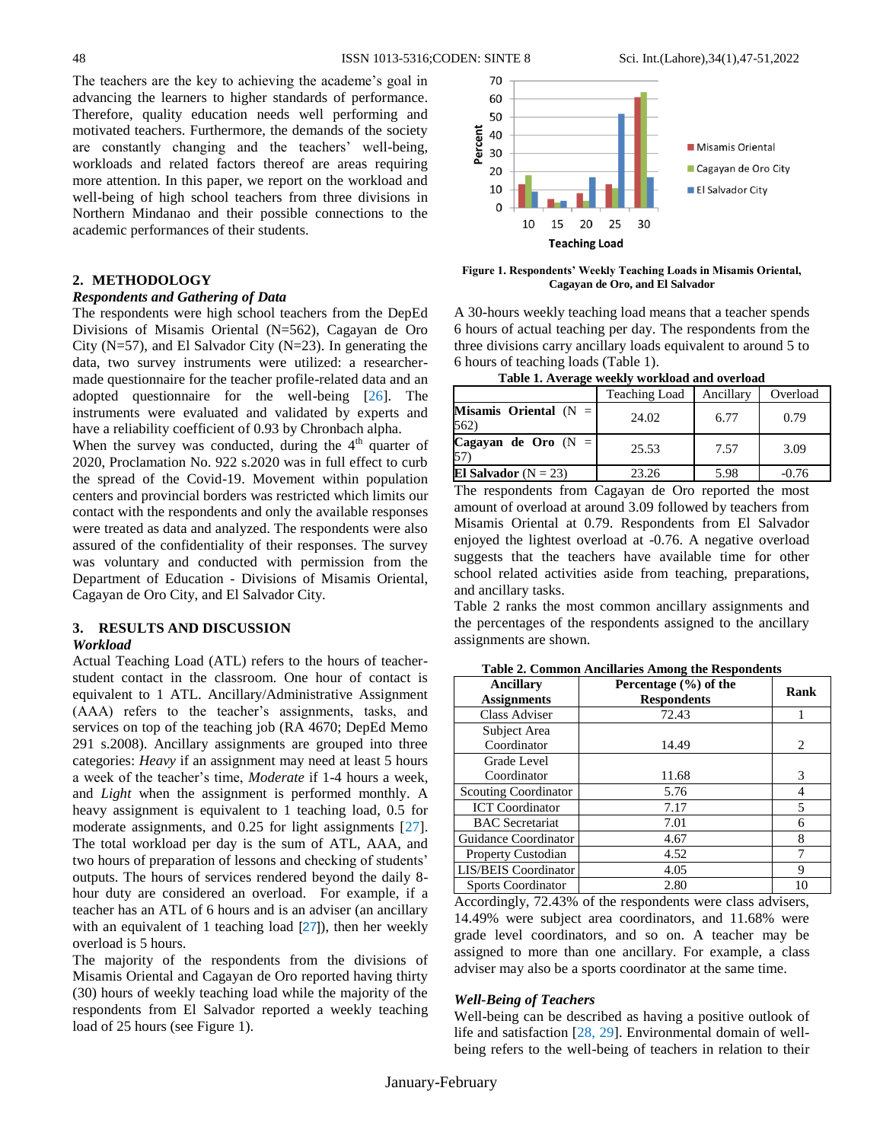The teachers are the key to achieving the academe's goal in advancing the learners to higher standards of performance. Therefore, quality education needs well performing and motivated teachers. Furthermore, the demands of the society are constantly changing and the teachers' well-being, workloads and related factors thereof are areas requiring more attention. In this paper, we report on the workload and well-being of high school teachers from three divisions in Northern Mindanao and their possible connections to the academic performances of their students.

### **2. METHODOLOGY**

## *Respondents and Gathering of Data*

The respondents were high school teachers from the DepEd Divisions of Misamis Oriental (N=562), Cagayan de Oro City ( $N=57$ ), and El Salvador City ( $N=23$ ). In generating the data, two survey instruments were utilized: a researchermade questionnaire for the teacher profile-related data and an adopted questionnaire for the well-being [26]. The instruments were evaluated and validated by experts and have a reliability coefficient of 0.93 by Chronbach alpha.

When the survey was conducted, during the  $4<sup>th</sup>$  quarter of 2020, Proclamation No. 922 s.2020 was in full effect to curb the spread of the Covid-19. Movement within population centers and provincial borders was restricted which limits our contact with the respondents and only the available responses were treated as data and analyzed. The respondents were also assured of the confidentiality of their responses. The survey was voluntary and conducted with permission from the Department of Education - Divisions of Misamis Oriental, Cagayan de Oro City, and El Salvador City.

# **3. RESULTS AND DISCUSSION**

#### *Workload*

Actual Teaching Load (ATL) refers to the hours of teacherstudent contact in the classroom. One hour of contact is equivalent to 1 ATL. Ancillary/Administrative Assignment (AAA) refers to the teacher's assignments, tasks, and services on top of the teaching job (RA 4670; DepEd Memo 291 s.2008). Ancillary assignments are grouped into three categories: *Heavy* if an assignment may need at least 5 hours a week of the teacher's time, *Moderate* if 1-4 hours a week, and *Light* when the assignment is performed monthly. A heavy assignment is equivalent to 1 teaching load, 0.5 for moderate assignments, and 0.25 for light assignments [27]. The total workload per day is the sum of ATL, AAA, and two hours of preparation of lessons and checking of students' outputs. The hours of services rendered beyond the daily 8 hour duty are considered an overload. For example, if a teacher has an ATL of 6 hours and is an adviser (an ancillary with an equivalent of 1 teaching load [27]), then her weekly overload is 5 hours.

The majority of the respondents from the divisions of Misamis Oriental and Cagayan de Oro reported having thirty (30) hours of weekly teaching load while the majority of the respondents from El Salvador reported a weekly teaching load of 25 hours (see Figure 1).



**Figure 1. Respondents' Weekly Teaching Loads in Misamis Oriental, Cagayan de Oro, and El Salvador**

A 30-hours weekly teaching load means that a teacher spends 6 hours of actual teaching per day. The respondents from the three divisions carry ancillary loads equivalent to around 5 to 6 hours of teaching loads (Table 1).

| Table 1. Average weekly workload and overload |  |  |  |
|-----------------------------------------------|--|--|--|
|                                               |  |  |  |
|                                               |  |  |  |

|                                   | Teaching Load | Ancillary | Overload |
|-----------------------------------|---------------|-----------|----------|
| Misamis Oriental $(N =  $<br>562) | 24.02         | 6.77      | 0.79     |
| Cagayan de Oro $(N =$             | 25.53         | 7.57      | 3.09     |
| El Salvador ( $N = 23$ )          | 23.26         | 5.98      | $-0.76$  |

The respondents from Cagayan de Oro reported the most amount of overload at around 3.09 followed by teachers from Misamis Oriental at 0.79. Respondents from El Salvador enjoyed the lightest overload at -0.76. A negative overload suggests that the teachers have available time for other school related activities aside from teaching, preparations, and ancillary tasks.

Table 2 ranks the most common ancillary assignments and the percentages of the respondents assigned to the ancillary assignments are shown.

| <b>Ancillary</b><br><b>Assignments</b> | Percentage $(\% )$ of the<br><b>Respondents</b> | Rank                          |
|----------------------------------------|-------------------------------------------------|-------------------------------|
| Class Adviser                          | 72.43                                           |                               |
| Subject Area<br>Coordinator            | 14.49                                           | $\mathfrak{D}_{\mathfrak{p}}$ |
| Grade Level                            |                                                 |                               |
| Coordinator                            | 11.68                                           | 3                             |
| <b>Scouting Coordinator</b>            | 5.76                                            | 4                             |
| <b>ICT</b> Coordinator                 | 7.17                                            | 5                             |
| <b>BAC</b> Secretariat                 | 7.01                                            | 6                             |
| Guidance Coordinator                   | 4.67                                            | 8                             |
| <b>Property Custodian</b>              | 4.52                                            | 7                             |
| LIS/BEIS Coordinator                   | 4.05                                            | 9                             |
| <b>Sports Coordinator</b>              | 2.80                                            | 10                            |

**Table 2. Common Ancillaries Among the Respondents**

Accordingly, 72.43% of the respondents were class advisers, 14.49% were subject area coordinators, and 11.68% were grade level coordinators, and so on. A teacher may be assigned to more than one ancillary. For example, a class adviser may also be a sports coordinator at the same time.

### *Well-Being of Teachers*

Well-being can be described as having a positive outlook of life and satisfaction [28, 29]. Environmental domain of wellbeing refers to the well-being of teachers in relation to their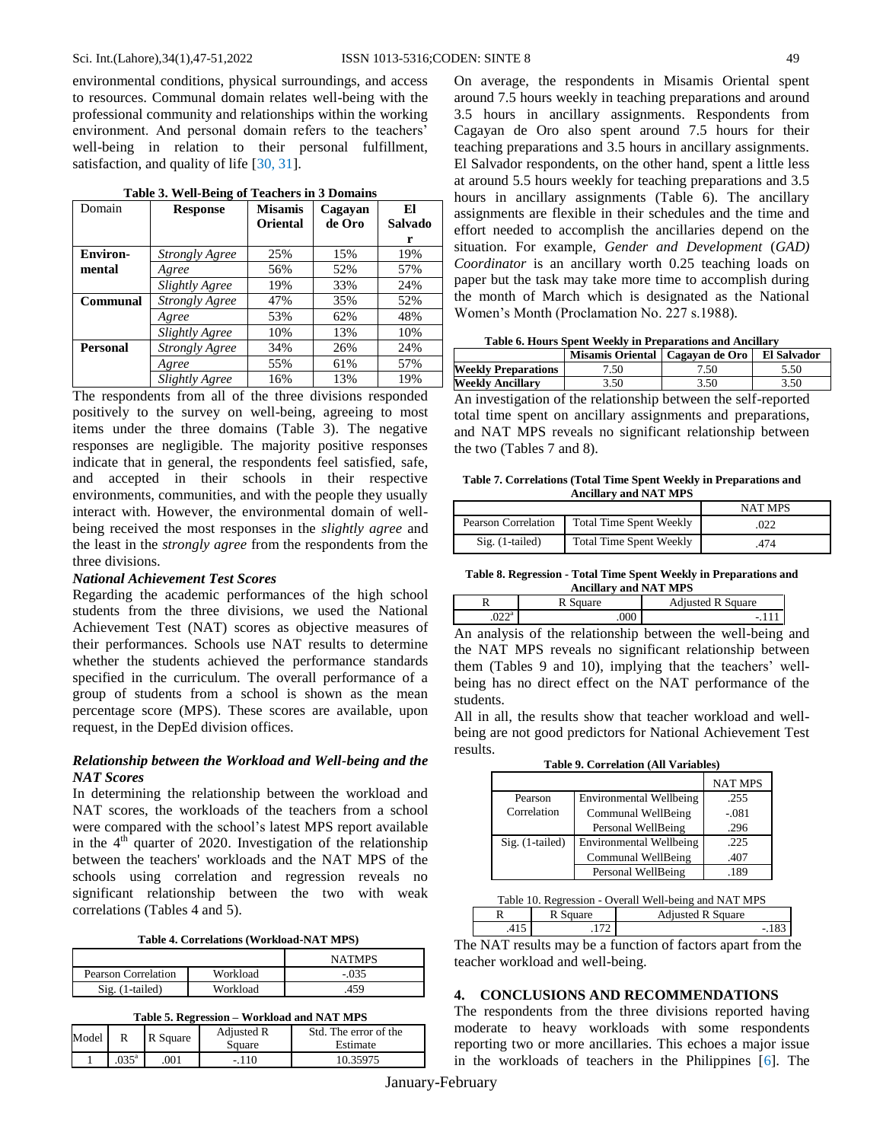#### Sci. Int.(Lahore),34(1),47-51,2022 ISSN 1013-5316;CODEN: SINTE 8 49

environmental conditions, physical surroundings, and access to resources. Communal domain relates well-being with the professional community and relationships within the working environment. And personal domain refers to the teachers' well-being in relation to their personal fulfillment, satisfaction, and quality of life [30, 31].

| Domain          | <b>Response</b>       | <b>Misamis</b>  | Cagayan | El      |
|-----------------|-----------------------|-----------------|---------|---------|
|                 |                       | <b>Oriental</b> | de Oro  | Salvado |
|                 |                       |                 |         | r       |
| <b>Environ-</b> | <b>Strongly Agree</b> | 25%             | 15%     | 19%     |
| mental          | Agree                 | 56%             | 52%     | 57%     |
|                 | Slightly Agree        | 19%             | 33%     | 24%     |
| Communal        | <b>Strongly Agree</b> | 47%             | 35%     | 52%     |
|                 | Agree                 | 53%             | 62%     | 48%     |
|                 | Slightly Agree        | 10%             | 13%     | 10%     |
| <b>Personal</b> | <b>Strongly Agree</b> | 34%             | 26%     | 24%     |
|                 | Agree                 | 55%             | 61%     | 57%     |
|                 | <b>Slightly Agree</b> | 16%             | 13%     | 19%     |

**Table 3. Well-Being of Teachers in 3 Domains**

The respondents from all of the three divisions responded positively to the survey on well-being, agreeing to most items under the three domains (Table 3). The negative responses are negligible. The majority positive responses indicate that in general, the respondents feel satisfied, safe, and accepted in their schools in their respective environments, communities, and with the people they usually interact with. However, the environmental domain of wellbeing received the most responses in the *slightly agree* and the least in the *strongly agree* from the respondents from the three divisions.

## *National Achievement Test Scores*

Regarding the academic performances of the high school students from the three divisions, we used the National Achievement Test (NAT) scores as objective measures of their performances. Schools use NAT results to determine whether the students achieved the performance standards specified in the curriculum. The overall performance of a group of students from a school is shown as the mean percentage score (MPS). These scores are available, upon request, in the DepEd division offices.

## *Relationship between the Workload and Well-being and the NAT Scores*

In determining the relationship between the workload and NAT scores, the workloads of the teachers from a school were compared with the school's latest MPS report available in the  $4<sup>th</sup>$  quarter of 2020. Investigation of the relationship between the teachers' workloads and the NAT MPS of the schools using correlation and regression reveals no significant relationship between the two with weak correlations (Tables 4 and 5).

**Table 4. Correlations (Workload-NAT MPS)**

|                     |          | <b>NATMPS</b> |
|---------------------|----------|---------------|
| Pearson Correlation | Workload | $-.035$       |
| $Sig. (1-tailed)$   | Workload | .459          |

**Table 5. Regression – Workload and NAT MPS**

| Model |                | R Square | Adjusted R<br>Square | Std. The error of the<br>Estimate |
|-------|----------------|----------|----------------------|-----------------------------------|
|       | $.035^{\circ}$ | 001      | $-.110$              | 10.35975                          |

On average, the respondents in Misamis Oriental spent around 7.5 hours weekly in teaching preparations and around 3.5 hours in ancillary assignments. Respondents from Cagayan de Oro also spent around 7.5 hours for their teaching preparations and 3.5 hours in ancillary assignments. El Salvador respondents, on the other hand, spent a little less at around 5.5 hours weekly for teaching preparations and 3.5 hours in ancillary assignments (Table 6). The ancillary assignments are flexible in their schedules and the time and effort needed to accomplish the ancillaries depend on the situation. For example, *Gender and Development* (*GAD) Coordinator* is an ancillary worth 0.25 teaching loads on paper but the task may take more time to accomplish during the month of March which is designated as the National Women's Month (Proclamation No. 227 s.1988).

**Table 6. Hours Spent Weekly in Preparations and Ancillary**

|                                                                | Misamis Oriental   Cagayan de Oro |      | El Salvador |  |
|----------------------------------------------------------------|-----------------------------------|------|-------------|--|
| <b>Weekly Preparations</b>                                     | 7.50                              | 7.50 | 5.50        |  |
| <b>Weekly Ancillary</b>                                        | 3.50<br>3.50                      |      | 3.50        |  |
| An investigation of the relationship between the self-reported |                                   |      |             |  |

total time spent on ancillary assignments and preparations, and NAT MPS reveals no significant relationship between the two (Tables 7 and 8).

**Table 7. Correlations (Total Time Spent Weekly in Preparations and Ancillary and NAT MPS**

|                     |                                | <b>NAT MPS</b> |
|---------------------|--------------------------------|----------------|
| Pearson Correlation | <b>Total Time Spent Weekly</b> | .022           |
| $Sig.$ (1-tailed)   | <b>Total Time Spent Weekly</b> | 474            |

**Table 8. Regression - Total Time Spent Weekly in Preparations and Ancillary and NAT MPS**

|              | uare | <b>Adjusted R Square</b> |
|--------------|------|--------------------------|
| o da<br>.UZZ | .000 | -                        |

An analysis of the relationship between the well-being and the NAT MPS reveals no significant relationship between them (Tables 9 and 10), implying that the teachers' wellbeing has no direct effect on the NAT performance of the students.

All in all, the results show that teacher workload and wellbeing are not good predictors for National Achievement Test results.

**Table 9. Correlation (All Variables)**

|                   |                                | <b>NAT MPS</b> |
|-------------------|--------------------------------|----------------|
| Pearson           | <b>Environmental Wellbeing</b> | .255           |
| Correlation       | Communal WellBeing             | $-.081$        |
|                   | Personal WellBeing             | .296           |
| $Sig.$ (1-tailed) | <b>Environmental Wellbeing</b> | .225           |
|                   | Communal WellBeing             | .407           |
|                   | Personal WellBeing             | 189            |

Table 10. Regression - Overall Well-being and NAT MPS

|         |             | 1 <sub>n</sub><br>$\cdots$ 1. $\cdots$<br>Square<br>emotod ti |              |
|---------|-------------|---------------------------------------------------------------|--------------|
|         |             |                                                               |              |
| _ _ _ _ | $\sim$<br>- | - -<br>$\sim$                                                 | --<br>$\sim$ |

The NAT results may be a function of factors apart from the teacher workload and well-being.

#### **4. CONCLUSIONS AND RECOMMENDATIONS**

The respondents from the three divisions reported having moderate to heavy workloads with some respondents reporting two or more ancillaries. This echoes a major issue in the workloads of teachers in the Philippines [6]. The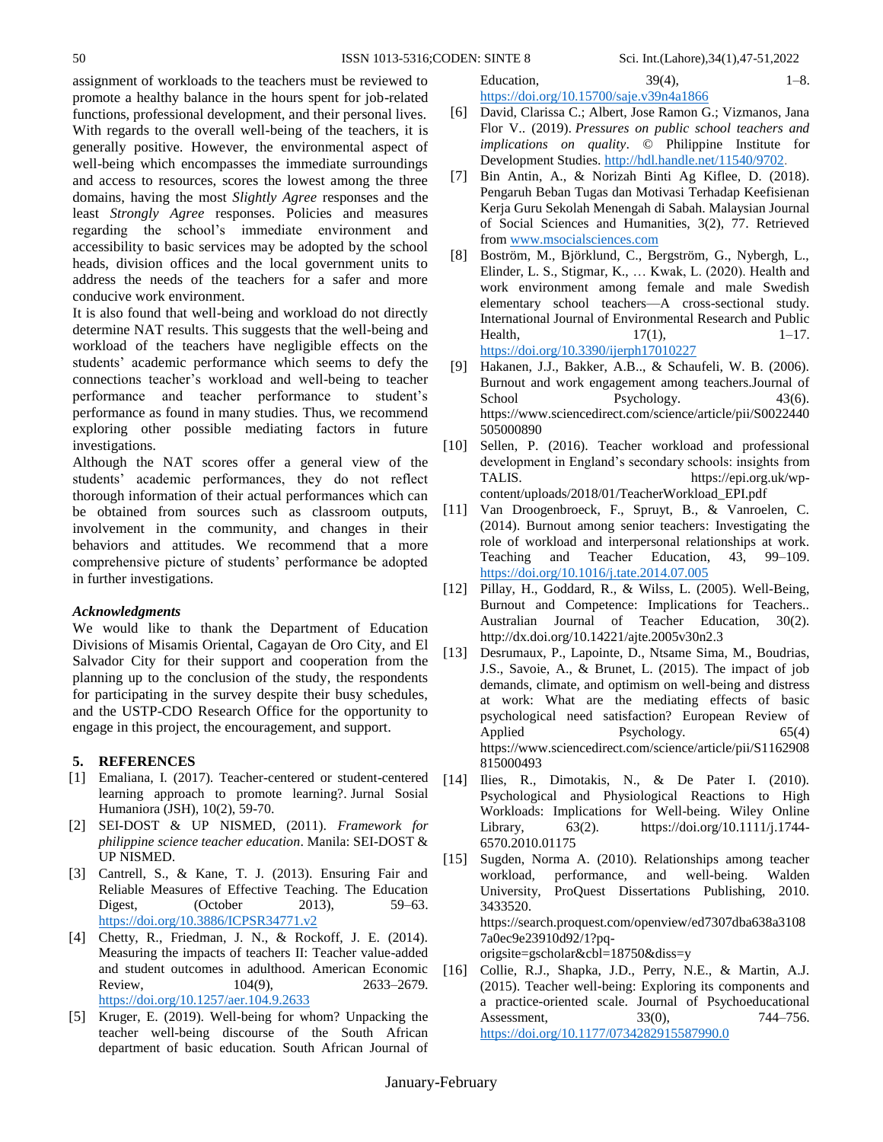assignment of workloads to the teachers must be reviewed to promote a healthy balance in the hours spent for job-related functions, professional development, and their personal lives. With regards to the overall well-being of the teachers, it is generally positive. However, the environmental aspect of well-being which encompasses the immediate surroundings and access to resources, scores the lowest among the three domains, having the most *Slightly Agree* responses and the least *Strongly Agree* responses. Policies and measures regarding the school's immediate environment and accessibility to basic services may be adopted by the school heads, division offices and the local government units to address the needs of the teachers for a safer and more conducive work environment.

It is also found that well-being and workload do not directly determine NAT results. This suggests that the well-being and workload of the teachers have negligible effects on the students' academic performance which seems to defy the connections teacher's workload and well-being to teacher performance and teacher performance to student's performance as found in many studies. Thus, we recommend exploring other possible mediating factors in future investigations.

Although the NAT scores offer a general view of the students' academic performances, they do not reflect thorough information of their actual performances which can be obtained from sources such as classroom outputs, involvement in the community, and changes in their behaviors and attitudes. We recommend that a more comprehensive picture of students' performance be adopted in further investigations.

# *Acknowledgments*

We would like to thank the Department of Education Divisions of Misamis Oriental, Cagayan de Oro City, and El Salvador City for their support and cooperation from the planning up to the conclusion of the study, the respondents for participating in the survey despite their busy schedules, and the USTP-CDO Research Office for the opportunity to engage in this project, the encouragement, and support.

# **5. REFERENCES**

- [1] Emaliana, I. (2017). Teacher-centered or student-centered learning approach to promote learning?. Jurnal Sosial Humaniora (JSH), 10(2), 59-70.
- [2] SEI-DOST & UP NISMED, (2011). *Framework for philippine science teacher education*. Manila: SEI-DOST & UP NISMED.
- [3] Cantrell, S., & Kane, T. J. (2013). Ensuring Fair and Reliable Measures of Effective Teaching. The Education Digest, (October 2013), 59–63. <https://doi.org/10.3886/ICPSR34771.v2>
- [4] Chetty, R., Friedman, J. N., & Rockoff, J. E. (2014). Measuring the impacts of teachers II: Teacher value-added and student outcomes in adulthood. American Economic Review, 104(9), 2633–2679. <https://doi.org/10.1257/aer.104.9.2633>
- [5] Kruger, E. (2019). Well-being for whom? Unpacking the teacher well-being discourse of the South African department of basic education. South African Journal of

Education,  $39(4)$ ,  $1-8$ . <https://doi.org/10.15700/saje.v39n4a1866>

- [6] David, Clarissa C.; Albert, Jose Ramon G.; Vizmanos, Jana Flor V.. (2019). *Pressures on public school teachers and implications on quality*. © Philippine Institute for Development Studies. [http://hdl.handle.net/11540/9702.](http://hdl.handle.net/11540/9702)
- [7] Bin Antin, A., & Norizah Binti Ag Kiflee, D. (2018). Pengaruh Beban Tugas dan Motivasi Terhadap Keefisienan Kerja Guru Sekolah Menengah di Sabah. Malaysian Journal of Social Sciences and Humanities, 3(2), 77. Retrieved from [www.msocialsciences.com](http://www.msocialsciences.com/)
- [8] Boström, M., Björklund, C., Bergström, G., Nybergh, L., Elinder, L. S., Stigmar, K., … Kwak, L. (2020). Health and work environment among female and male Swedish elementary school teachers—A cross-sectional study. International Journal of Environmental Research and Public Health,  $17(1)$ ,  $1-17$ . <https://doi.org/10.3390/ijerph17010227>
- [9] Hakanen, J.J., Bakker, A.B.., & Schaufeli, W. B. (2006). Burnout and work engagement among teachers.Journal of School Psychology. 43(6). [https://www.sciencedirect.com/science/article/pii/S0022440](https://www.sciencedirect.com/science/article/pii/S0022440505000890) [505000890](https://www.sciencedirect.com/science/article/pii/S0022440505000890)
- [10] Sellen, P. (2016). Teacher workload and professional development in England's secondary schools: insights from TALIS. [https://epi.org.uk/wp](https://epi.org.uk/wp-content/uploads/2018/01/TeacherWorkload_EPI.pdf)[content/uploads/2018/01/TeacherWorkload\\_EPI.pdf](https://epi.org.uk/wp-content/uploads/2018/01/TeacherWorkload_EPI.pdf)
- [11] Van Droogenbroeck, F., Spruyt, B., & Vanroelen, C. (2014). Burnout among senior teachers: Investigating the role of workload and interpersonal relationships at work. Teaching and Teacher Education, 43, 99–109. <https://doi.org/10.1016/j.tate.2014.07.005>
- [12] Pillay, H., Goddard, R., & Wilss, L. (2005). Well-Being, Burnout and Competence: Implications for Teachers.. Australian Journal of Teacher Education, 30(2). <http://dx.doi.org/10.14221/ajte.2005v30n2.3>
- [13] Desrumaux, P., Lapointe, D., Ntsame Sima, M., Boudrias, J.S., Savoie, A., & Brunet, L. (2015). The impact of job demands, climate, and optimism on well-being and distress at work: What are the mediating effects of basic psychological need satisfaction? European Review of Applied Psychology. 65(4) [https://www.sciencedirect.com/science/article/pii/S1162908](https://www.sciencedirect.com/science/article/pii/S1162908815000493) [815000493](https://www.sciencedirect.com/science/article/pii/S1162908815000493)
- [14] Ilies, R., Dimotakis, N., & De Pater I. (2010). Psychological and Physiological Reactions to High Workloads: Implications for Well-being. Wiley Online Library, 63(2). [https://doi.org/10.1111/j.1744-](https://doi.org/10.1111/j.1744-6570.2010.01175) [6570.2010.01175](https://doi.org/10.1111/j.1744-6570.2010.01175)
- [15] Sugden, Norma A. (2010). Relationships among teacher workload, performance, and well-being. Walden University, ProQuest Dissertations Publishing, 2010. 3433520. [https://search.proquest.com/openview/ed7307dba638a3108](https://search.proquest.com/openview/ed7307dba638a31087a0ec9e23910d92/1?pq-origsite=gscholar&cbl=18750&diss=y) [7a0ec9e23910d92/1?pq](https://search.proquest.com/openview/ed7307dba638a31087a0ec9e23910d92/1?pq-origsite=gscholar&cbl=18750&diss=y)[origsite=gscholar&cbl=18750&diss=y](https://search.proquest.com/openview/ed7307dba638a31087a0ec9e23910d92/1?pq-origsite=gscholar&cbl=18750&diss=y)
- [16] Collie, R.J., Shapka, J.D., Perry, N.E., & Martin, A.J. (2015). Teacher well-being: Exploring its components and a practice-oriented scale. Journal of Psychoeducational Assessment, 33(0), 744–756. <https://doi.org/10.1177/0734282915587990.0>